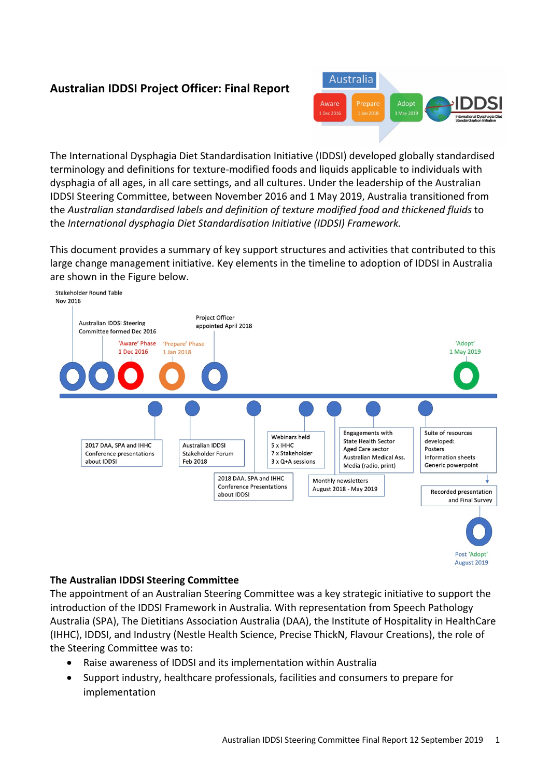# **Australian IDDSI Project Officer: Final Report**



The International Dysphagia Diet Standardisation Initiative (IDDSI) developed globally standardised terminology and definitions for texture-modified foods and liquids applicable to individuals with dysphagia of all ages, in all care settings, and all cultures. Under the leadership of the Australian IDDSI Steering Committee, between November 2016 and 1 May 2019, Australia transitioned from the *Australian standardised labels and definition of texture modified food and thickened fluids* to the *International dysphagia Diet Standardisation Initiative (IDDSI) Framework.*

This document provides a summary of key support structures and activities that contributed to this large change management initiative. Key elements in the timeline to adoption of IDDSI in Australia are shown in the Figure below.



**The Australian IDDSI Steering Committee**

The appointment of an Australian Steering Committee was a key strategic initiative to support the introduction of the IDDSI Framework in Australia. With representation from Speech Pathology Australia (SPA), The Dietitians Association Australia (DAA), the Institute of Hospitality in HealthCare (IHHC), IDDSI, and Industry (Nestle Health Science, Precise ThickN, Flavour Creations), the role of the Steering Committee was to:

- Raise awareness of IDDSI and its implementation within Australia
- Support industry, healthcare professionals, facilities and consumers to prepare for implementation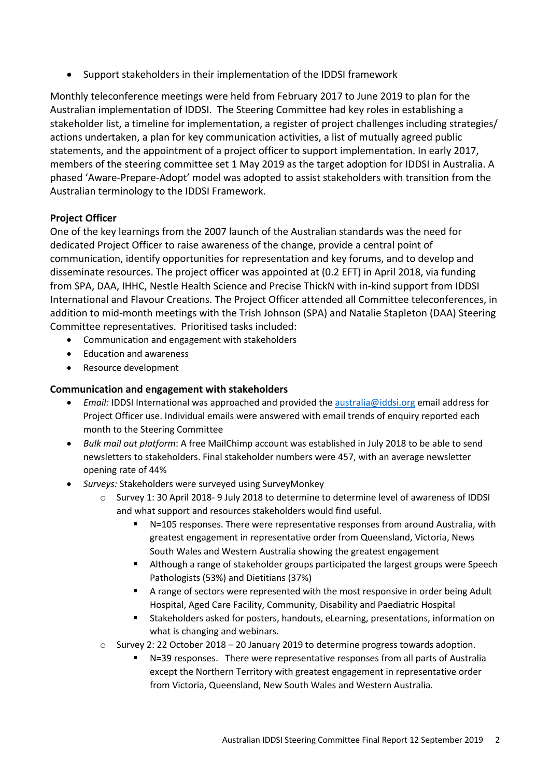• Support stakeholders in their implementation of the IDDSI framework

Monthly teleconference meetings were held from February 2017 to June 2019 to plan for the Australian implementation of IDDSI. The Steering Committee had key roles in establishing a stakeholder list, a timeline for implementation, a register of project challenges including strategies/ actions undertaken, a plan for key communication activities, a list of mutually agreed public statements, and the appointment of a project officer to support implementation. In early 2017, members of the steering committee set 1 May 2019 as the target adoption for IDDSI in Australia. A phased 'Aware-Prepare-Adopt' model was adopted to assist stakeholders with transition from the Australian terminology to the IDDSI Framework.

## **Project Officer**

One of the key learnings from the 2007 launch of the Australian standards was the need for dedicated Project Officer to raise awareness of the change, provide a central point of communication, identify opportunities for representation and key forums, and to develop and disseminate resources. The project officer was appointed at (0.2 EFT) in April 2018, via funding from SPA, DAA, IHHC, Nestle Health Science and Precise ThickN with in-kind support from IDDSI International and Flavour Creations. The Project Officer attended all Committee teleconferences, in addition to mid-month meetings with the Trish Johnson (SPA) and Natalie Stapleton (DAA) Steering Committee representatives. Prioritised tasks included:

- Communication and engagement with stakeholders
- Education and awareness
- Resource development

## **Communication and engagement with stakeholders**

- *Email:* IDDSI International was approached and provided the australia@iddsi.org email address for Project Officer use. Individual emails were answered with email trends of enquiry reported each month to the Steering Committee
- *Bulk mail out platform*: A free MailChimp account was established in July 2018 to be able to send newsletters to stakeholders. Final stakeholder numbers were 457, with an average newsletter opening rate of 44%
- *Surveys:* Stakeholders were surveyed using SurveyMonkey
	- o Survey 1: 30 April 2018- 9 July 2018 to determine to determine level of awareness of IDDSI and what support and resources stakeholders would find useful.
		- § N=105 responses. There were representative responses from around Australia, with greatest engagement in representative order from Queensland, Victoria, News South Wales and Western Australia showing the greatest engagement
		- § Although a range of stakeholder groups participated the largest groups were Speech Pathologists (53%) and Dietitians (37%)
		- § A range of sectors were represented with the most responsive in order being Adult Hospital, Aged Care Facility, Community, Disability and Paediatric Hospital
		- § Stakeholders asked for posters, handouts, eLearning, presentations, information on what is changing and webinars.
	- o Survey 2: 22 October 2018 20 January 2019 to determine progress towards adoption.
		- § N=39 responses. There were representative responses from all parts of Australia except the Northern Territory with greatest engagement in representative order from Victoria, Queensland, New South Wales and Western Australia.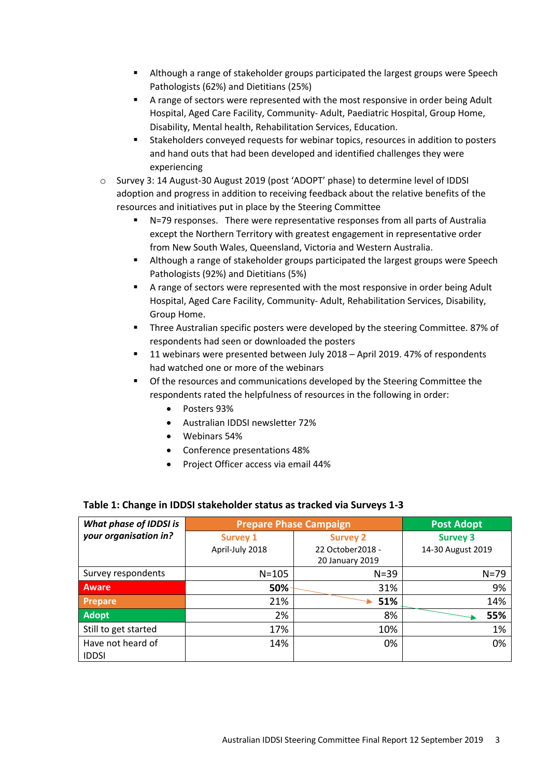- **EXTER** Although a range of stakeholder groups participated the largest groups were Speech Pathologists (62%) and Dietitians (25%)
- § A range of sectors were represented with the most responsive in order being Adult Hospital, Aged Care Facility, Community- Adult, Paediatric Hospital, Group Home, Disability, Mental health, Rehabilitation Services, Education.
- § Stakeholders conveyed requests for webinar topics, resources in addition to posters and hand outs that had been developed and identified challenges they were experiencing
- o Survey 3: 14 August-30 August 2019 (post 'ADOPT' phase) to determine level of IDDSI adoption and progress in addition to receiving feedback about the relative benefits of the resources and initiatives put in place by the Steering Committee
	- § N=79 responses. There were representative responses from all parts of Australia except the Northern Territory with greatest engagement in representative order from New South Wales, Queensland, Victoria and Western Australia.
	- **EXTER** Although a range of stakeholder groups participated the largest groups were Speech Pathologists (92%) and Dietitians (5%)
	- A range of sectors were represented with the most responsive in order being Adult Hospital, Aged Care Facility, Community- Adult, Rehabilitation Services, Disability, Group Home.
	- § Three Australian specific posters were developed by the steering Committee. 87% of respondents had seen or downloaded the posters
	- 11 webinars were presented between July 2018 April 2019. 47% of respondents had watched one or more of the webinars
	- § Of the resources and communications developed by the Steering Committee the respondents rated the helpfulness of resources in the following in order:
		- Posters 93%
		- Australian IDDSI newsletter 72%
		- Webinars 54%
		- Conference presentations 48%
		- Project Officer access via email 44%

#### **Table 1: Change in IDDSI stakeholder status as tracked via Surveys 1-3**

| What phase of IDDSI is            | <b>Prepare Phase Campaign</b> |                   | <b>Post Adopt</b> |
|-----------------------------------|-------------------------------|-------------------|-------------------|
| your organisation in?             | <b>Survey 1</b>               | <b>Survey 2</b>   | <b>Survey 3</b>   |
|                                   | April-July 2018               | 22 October 2018 - | 14-30 August 2019 |
|                                   |                               | 20 January 2019   |                   |
| Survey respondents                | $N = 105$                     | $N = 39$          | $N = 79$          |
| Aware                             | 50%                           | 31%               | 9%                |
| <b>Prepare</b>                    | 21%                           | 51%               | 14%               |
| <b>Adopt</b>                      | 2%                            | 8%                | 55%               |
| Still to get started              | 17%                           | 10%               | 1%                |
| Have not heard of<br><b>IDDSI</b> | 14%                           | 0%                | 0%                |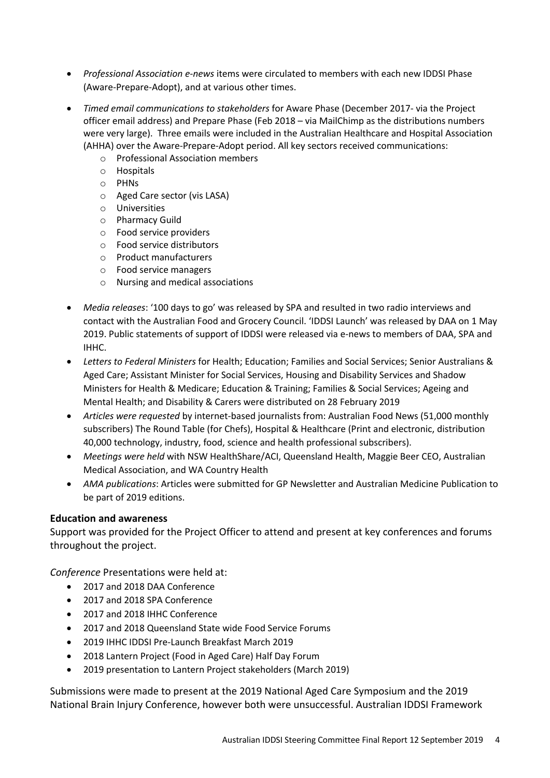- *Professional Association e-news* items were circulated to members with each new IDDSI Phase (Aware-Prepare-Adopt), and at various other times.
- *Timed email communications to stakeholders* for Aware Phase (December 2017- via the Project officer email address) and Prepare Phase (Feb 2018 – via MailChimp as the distributions numbers were very large). Three emails were included in the Australian Healthcare and Hospital Association (AHHA) over the Aware-Prepare-Adopt period. All key sectors received communications:
	- o Professional Association members
	- o Hospitals
	- o PHNs
	- o Aged Care sector (vis LASA)
	- o Universities
	- o Pharmacy Guild
	- o Food service providers
	- o Food service distributors
	- o Product manufacturers
	- o Food service managers
	- o Nursing and medical associations
- *Media releases*: '100 days to go' was released by SPA and resulted in two radio interviews and contact with the Australian Food and Grocery Council. 'IDDSI Launch' was released by DAA on 1 May 2019. Public statements of support of IDDSI were released via e-news to members of DAA, SPA and IHHC.
- *Letters to Federal Ministers* for Health; Education; Families and Social Services; Senior Australians & Aged Care; Assistant Minister for Social Services, Housing and Disability Services and Shadow Ministers for Health & Medicare; Education & Training; Families & Social Services; Ageing and Mental Health; and Disability & Carers were distributed on 28 February 2019
- *Articles were requested* by internet-based journalists from: Australian Food News (51,000 monthly subscribers) The Round Table (for Chefs), Hospital & Healthcare (Print and electronic, distribution 40,000 technology, industry, food, science and health professional subscribers).
- *Meetings were held* with NSW HealthShare/ACI, Queensland Health, Maggie Beer CEO, Australian Medical Association, and WA Country Health
- *AMA publications*: Articles were submitted for GP Newsletter and Australian Medicine Publication to be part of 2019 editions.

#### **Education and awareness**

Support was provided for the Project Officer to attend and present at key conferences and forums throughout the project.

*Conference* Presentations were held at:

- 2017 and 2018 DAA Conference
- 2017 and 2018 SPA Conference
- 2017 and 2018 IHHC Conference
- 2017 and 2018 Queensland State wide Food Service Forums
- 2019 IHHC IDDSI Pre-Launch Breakfast March 2019
- 2018 Lantern Project (Food in Aged Care) Half Day Forum
- 2019 presentation to Lantern Project stakeholders (March 2019)

Submissions were made to present at the 2019 National Aged Care Symposium and the 2019 National Brain Injury Conference, however both were unsuccessful. Australian IDDSI Framework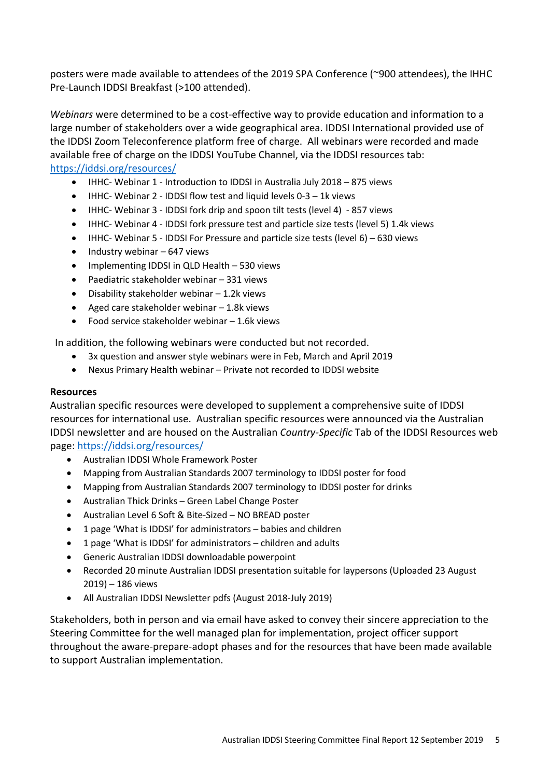posters were made available to attendees of the 2019 SPA Conference (~900 attendees), the IHHC Pre-Launch IDDSI Breakfast (>100 attended).

*Webinars* were determined to be a cost-effective way to provide education and information to a large number of stakeholders over a wide geographical area. IDDSI International provided use of the IDDSI Zoom Teleconference platform free of charge. All webinars were recorded and made available free of charge on the IDDSI YouTube Channel, via the IDDSI resources tab: https://iddsi.org/resources/

- IHHC- Webinar 1 Introduction to IDDSI in Australia July 2018 875 views
- IHHC- Webinar 2 IDDSI flow test and liquid levels 0-3 1k views
- IHHC- Webinar 3 IDDSI fork drip and spoon tilt tests (level 4) 857 views
- IHHC- Webinar 4 IDDSI fork pressure test and particle size tests (level 5) 1.4k views
- IHHC- Webinar 5 IDDSI For Pressure and particle size tests (level 6) 630 views
- Industry webinar 647 views
- Implementing IDDSI in QLD Health 530 views
- Paediatric stakeholder webinar 331 views
- Disability stakeholder webinar 1.2k views
- Aged care stakeholder webinar 1.8k views
- Food service stakeholder webinar 1.6k views

In addition, the following webinars were conducted but not recorded.

- 3x question and answer style webinars were in Feb, March and April 2019
- Nexus Primary Health webinar Private not recorded to IDDSI website

#### **Resources**

Australian specific resources were developed to supplement a comprehensive suite of IDDSI resources for international use. Australian specific resources were announced via the Australian IDDSI newsletter and are housed on the Australian *Country-Specific* Tab of the IDDSI Resources web page: https://iddsi.org/resources/

- Australian IDDSI Whole Framework Poster
- Mapping from Australian Standards 2007 terminology to IDDSI poster for food
- Mapping from Australian Standards 2007 terminology to IDDSI poster for drinks
- Australian Thick Drinks Green Label Change Poster
- Australian Level 6 Soft & Bite-Sized NO BREAD poster
- 1 page 'What is IDDSI' for administrators babies and children
- 1 page 'What is IDDSI' for administrators children and adults
- Generic Australian IDDSI downloadable powerpoint
- Recorded 20 minute Australian IDDSI presentation suitable for laypersons (Uploaded 23 August 2019) – 186 views
- All Australian IDDSI Newsletter pdfs (August 2018-July 2019)

Stakeholders, both in person and via email have asked to convey their sincere appreciation to the Steering Committee for the well managed plan for implementation, project officer support throughout the aware-prepare-adopt phases and for the resources that have been made available to support Australian implementation.